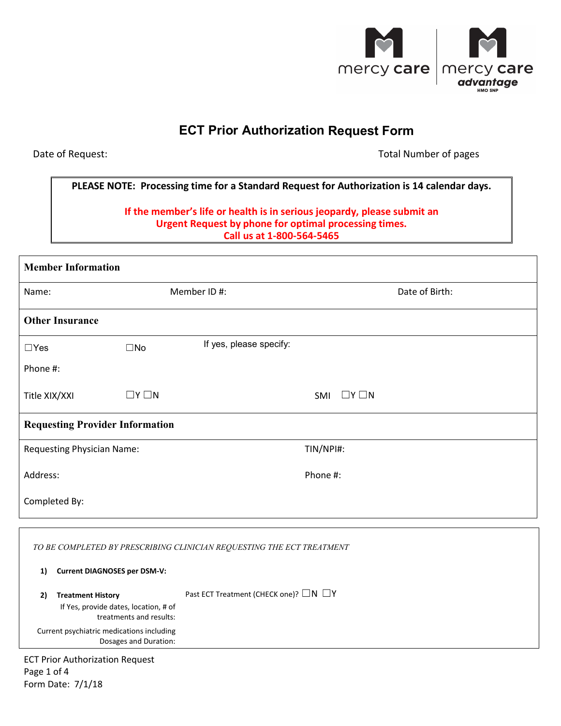

# **ECT Prior Authorization Request Form**

Date of Request:

Total Number of pages

# **PLEASE NOTE: Processing time for a Standard Request for Authorization is 14 calendar days.**

## **If the member's life or health is in serious jeopardy, please submit an Urgent Request by phone for optimal processing times. Call us at 1-800-564-5465**

| <b>Member Information</b>              |                 |                         |                        |                |
|----------------------------------------|-----------------|-------------------------|------------------------|----------------|
| Name:                                  | Member ID#:     |                         |                        | Date of Birth: |
| <b>Other Insurance</b>                 |                 |                         |                        |                |
| $\Box$ Yes                             | $\square$ No    | If yes, please specify: |                        |                |
| Phone #:                               |                 |                         |                        |                |
| Title XIX/XXI                          | $\Box Y \Box N$ |                         | $\Box Y \Box N$<br>SMI |                |
| <b>Requesting Provider Information</b> |                 |                         |                        |                |
| <b>Requesting Physician Name:</b>      |                 |                         | TIN/NPI#:              |                |
| Address:                               |                 |                         | Phone #:               |                |
| Completed By:                          |                 |                         |                        |                |

| TO BE COMPLETED BY PRESCRIBING CLINICIAN REQUESTING THE ECT TREATMENT                              |                                                       |  |
|----------------------------------------------------------------------------------------------------|-------------------------------------------------------|--|
| <b>Current DIAGNOSES per DSM-V:</b><br>1)                                                          |                                                       |  |
| <b>Treatment History</b><br>2)<br>If Yes, provide dates, location, # of<br>treatments and results: | Past ECT Treatment (CHECK one)? $\square N \square Y$ |  |
| Current psychiatric medications including<br>Dosages and Duration:                                 |                                                       |  |
| <b>FCT Drior Authorization Request</b>                                                             |                                                       |  |

ECT Prior Authorization Request Page 1 of 4 Form Date: 7/1/18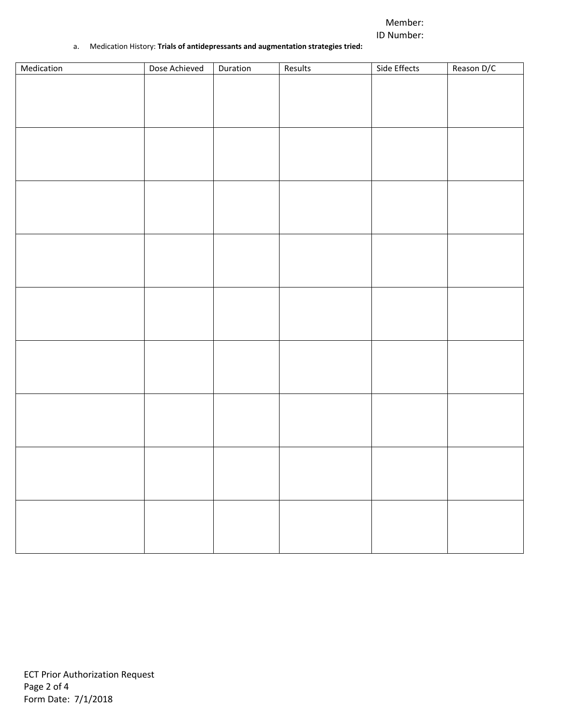## Member: ID Number:

#### a. Medication History: **Trials of antidepressants and augmentation strategies tried:**

| Medication | Dose Achieved | Duration | Results | Side Effects | Reason D/C |
|------------|---------------|----------|---------|--------------|------------|
|            |               |          |         |              |            |
|            |               |          |         |              |            |
|            |               |          |         |              |            |
|            |               |          |         |              |            |
|            |               |          |         |              |            |
|            |               |          |         |              |            |
|            |               |          |         |              |            |
|            |               |          |         |              |            |
|            |               |          |         |              |            |
|            |               |          |         |              |            |
|            |               |          |         |              |            |
|            |               |          |         |              |            |
|            |               |          |         |              |            |
|            |               |          |         |              |            |
|            |               |          |         |              |            |
|            |               |          |         |              |            |
|            |               |          |         |              |            |
|            |               |          |         |              |            |
|            |               |          |         |              |            |
|            |               |          |         |              |            |
|            |               |          |         |              |            |
|            |               |          |         |              |            |
|            |               |          |         |              |            |
|            |               |          |         |              |            |
|            |               |          |         |              |            |
|            |               |          |         |              |            |
|            |               |          |         |              |            |
|            |               |          |         |              |            |
|            |               |          |         |              |            |
|            |               |          |         |              |            |
|            |               |          |         |              |            |
|            |               |          |         |              |            |
|            |               |          |         |              |            |
|            |               |          |         |              |            |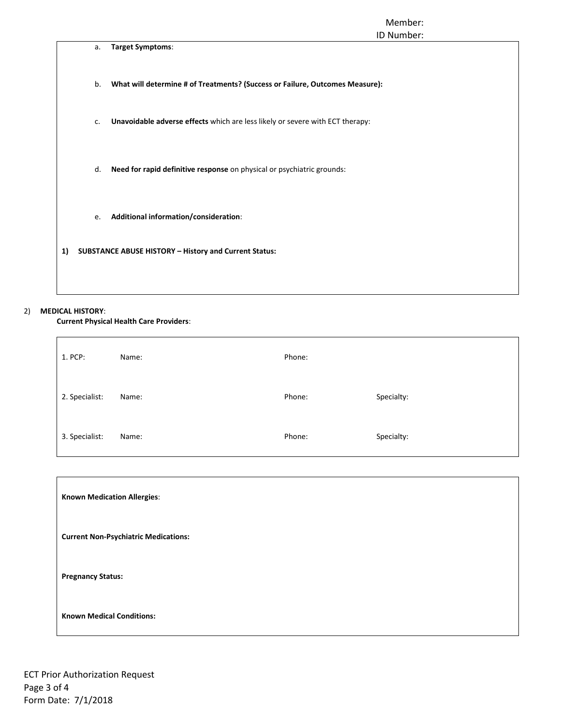#### Member: ID Number:

|    |    | ID Number:                                                                    |
|----|----|-------------------------------------------------------------------------------|
|    | a. | Target Symptoms:                                                              |
|    | b. | What will determine # of Treatments? (Success or Failure, Outcomes Measure):  |
|    | c. | Unavoidable adverse effects which are less likely or severe with ECT therapy: |
|    | d. | Need for rapid definitive response on physical or psychiatric grounds:        |
|    | e. | Additional information/consideration:                                         |
| 1) |    | <b>SUBSTANCE ABUSE HISTORY - History and Current Status:</b>                  |
|    |    |                                                                               |
|    |    |                                                                               |

#### 2) **MEDICAL HISTORY**:

**Current Physical Health Care Providers**:

| 1. PCP:        | Name: | Phone: |            |
|----------------|-------|--------|------------|
| 2. Specialist: | Name: | Phone: | Specialty: |
| 3. Specialist: | Name: | Phone: | Specialty: |

| <b>Known Medication Allergies:</b>          |
|---------------------------------------------|
| <b>Current Non-Psychiatric Medications:</b> |
| <b>Pregnancy Status:</b>                    |
| <b>Known Medical Conditions:</b>            |